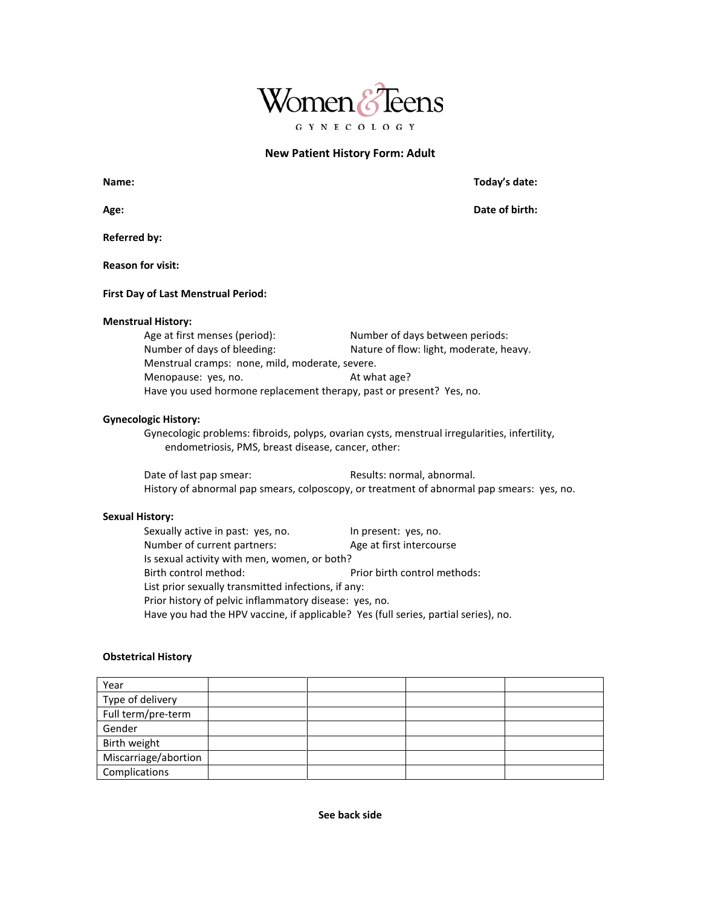

# **New Patient History Form: Adult**

| Age:                                                                 | Date of birth:                                  |  |  |
|----------------------------------------------------------------------|-------------------------------------------------|--|--|
| <b>Referred by:</b>                                                  |                                                 |  |  |
| <b>Reason for visit:</b>                                             |                                                 |  |  |
| <b>First Day of Last Menstrual Period:</b>                           |                                                 |  |  |
| <b>Menstrual History:</b>                                            |                                                 |  |  |
| Age at first menses (period):                                        | Number of days between periods:                 |  |  |
| Number of days of bleeding:                                          | Nature of flow: light, moderate, heavy.         |  |  |
|                                                                      | Menstrual cramps: none, mild, moderate, severe. |  |  |
| Menopause: yes, no.                                                  | At what age?                                    |  |  |
| Have you used hormone replacement therapy, past or present? Yes, no. |                                                 |  |  |

### **Gynecologic History:**

Gynecologic problems: fibroids, polyps, ovarian cysts, menstrual irregularities, infertility, endometriosis, PMS, breast disease, cancer, other:

Date of last pap smear: Results: normal, abnormal. History of abnormal pap smears, colposcopy, or treatment of abnormal pap smears: yes, no.

# **Sexual History:**

Sexually active in past: yes, no. In present: yes, no.<br>Number of current partners: Age at first intercourse Number of current partners: Is sexual activity with men, women, or both? Birth control method: Prior birth control methods: List prior sexually transmitted infections, if any: Prior history of pelvic inflammatory disease: yes, no. Have you had the HPV vaccine, if applicable? Yes (full series, partial series), no.

# **Obstetrical History**

| Year                 |  |  |
|----------------------|--|--|
| Type of delivery     |  |  |
| Full term/pre-term   |  |  |
| Gender               |  |  |
| Birth weight         |  |  |
| Miscarriage/abortion |  |  |
| Complications        |  |  |

**Name: Today's date:**